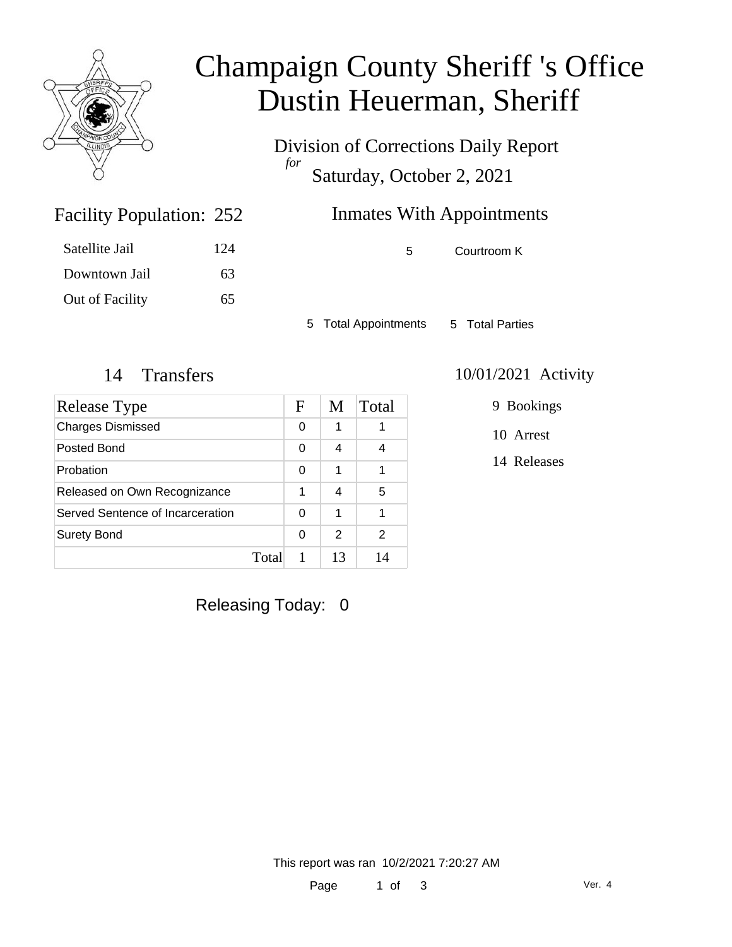

# Champaign County Sheriff 's Office Dustin Heuerman, Sheriff

Division of Corrections Daily Report *for* Saturday, October 2, 2021

### Inmates With Appointments

Facility Population: 252

| Satellite Jail  | 124 |
|-----------------|-----|
| Downtown Jail   | 63  |
| Out of Facility | 65  |

5 Courtroom K

5 Total Appointments 5 Total Parties

| Release Type                     |       | F | M             | Total |
|----------------------------------|-------|---|---------------|-------|
| <b>Charges Dismissed</b>         |       | 0 | 1             |       |
| Posted Bond                      |       | 0 | 4             | 4     |
| Probation                        |       | 0 | 1             | 1     |
| Released on Own Recognizance     |       | 1 | 4             | 5     |
| Served Sentence of Incarceration |       | 0 | 1             | 1     |
| <b>Surety Bond</b>               |       | 0 | $\mathcal{P}$ | 2     |
|                                  | Total |   | 13            | 14    |

#### 14 Transfers 10/01/2021 Activity

9 Bookings

10 Arrest

14 Releases

Releasing Today: 0

This report was ran 10/2/2021 7:20:27 AM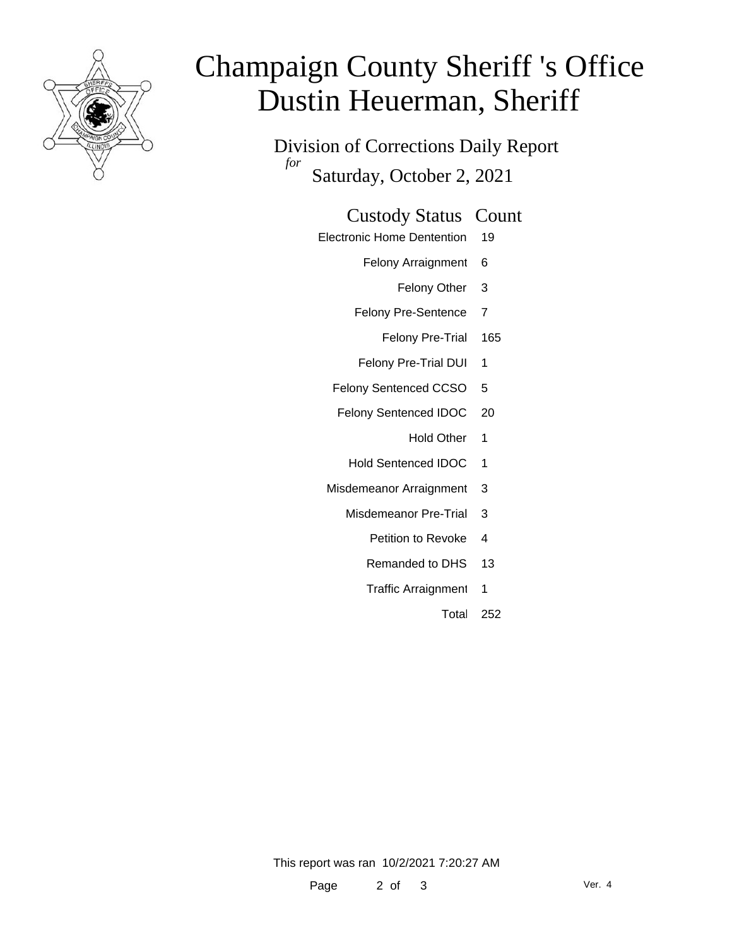

# Champaign County Sheriff 's Office Dustin Heuerman, Sheriff

Division of Corrections Daily Report *for* Saturday, October 2, 2021

#### Custody Status Count

- Electronic Home Dentention 19
	- Felony Arraignment 6
		- Felony Other 3
	- Felony Pre-Sentence 7
		- Felony Pre-Trial 165
	- Felony Pre-Trial DUI 1
	- Felony Sentenced CCSO 5
	- Felony Sentenced IDOC 20
		- Hold Other 1
		- Hold Sentenced IDOC 1
	- Misdemeanor Arraignment 3
		- Misdemeanor Pre-Trial 3
			- Petition to Revoke 4
			- Remanded to DHS 13
			- Traffic Arraignment 1
				- Total 252

This report was ran 10/2/2021 7:20:27 AM